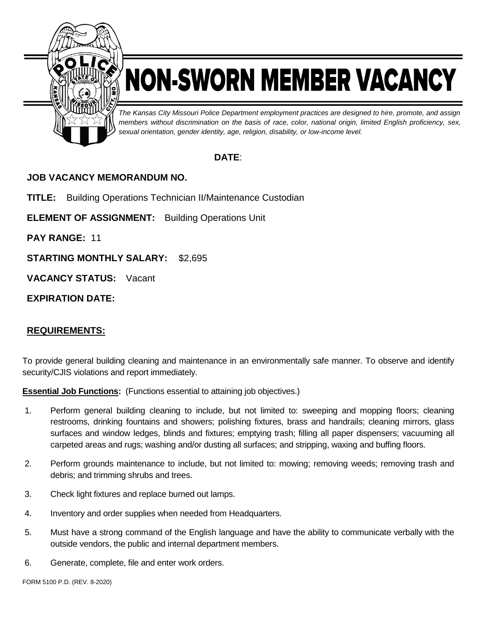

## NON-SWORN MEMBER VACANCY

*The Kansas City Missouri Police Department employment practices are designed to hire, promote, and assign members without discrimination on the basis of race, color, national origin, limited English proficiency, sex, sexual orientation, gender identity, age, religion, disability, or low-income level.*

## **DATE**:

## **JOB VACANCY MEMORANDUM NO.**

**TITLE:** Building Operations Technician II/Maintenance Custodian

**ELEMENT OF ASSIGNMENT:** Building Operations Unit

**PAY RANGE:** 11

**STARTING MONTHLY SALARY:** \$2,695

**VACANCY STATUS:** Vacant

**EXPIRATION DATE:**

## **REQUIREMENTS:**

To provide general building cleaning and maintenance in an environmentally safe manner. To observe and identify security/CJIS violations and report immediately.

**Essential Job Functions:** (Functions essential to attaining job objectives.)

- 1. Perform general building cleaning to include, but not limited to: sweeping and mopping floors; cleaning restrooms, drinking fountains and showers; polishing fixtures, brass and handrails; cleaning mirrors, glass surfaces and window ledges, blinds and fixtures; emptying trash; filling all paper dispensers; vacuuming all carpeted areas and rugs; washing and/or dusting all surfaces; and stripping, waxing and buffing floors.
- 2. Perform grounds maintenance to include, but not limited to: mowing; removing weeds; removing trash and debris; and trimming shrubs and trees.
- 3. Check light fixtures and replace burned out lamps.
- 4. Inventory and order supplies when needed from Headquarters.
- 5. Must have a strong command of the English language and have the ability to communicate verbally with the outside vendors, the public and internal department members.
- 6. Generate, complete, file and enter work orders.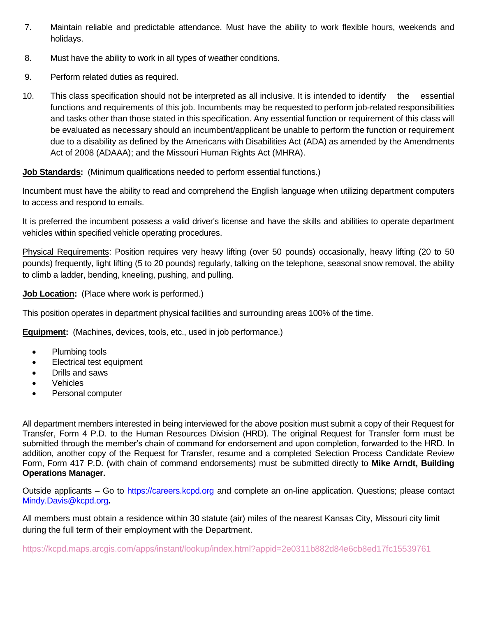- 7. Maintain reliable and predictable attendance. Must have the ability to work flexible hours, weekends and holidays.
- 8. Must have the ability to work in all types of weather conditions.
- 9. Perform related duties as required.
- 10. This class specification should not be interpreted as all inclusive. It is intended to identify the essential functions and requirements of this job. Incumbents may be requested to perform job-related responsibilities and tasks other than those stated in this specification. Any essential function or requirement of this class will be evaluated as necessary should an incumbent/applicant be unable to perform the function or requirement due to a disability as defined by the Americans with Disabilities Act (ADA) as amended by the Amendments Act of 2008 (ADAAA); and the Missouri Human Rights Act (MHRA).

**Job Standards:** (Minimum qualifications needed to perform essential functions.)

Incumbent must have the ability to read and comprehend the English language when utilizing department computers to access and respond to emails.

It is preferred the incumbent possess a valid driver's license and have the skills and abilities to operate department vehicles within specified vehicle operating procedures.

Physical Requirements: Position requires very heavy lifting (over 50 pounds) occasionally, heavy lifting (20 to 50 pounds) frequently, light lifting (5 to 20 pounds) regularly, talking on the telephone, seasonal snow removal, the ability to climb a ladder, bending, kneeling, pushing, and pulling.

**Job Location:** (Place where work is performed.)

This position operates in department physical facilities and surrounding areas 100% of the time.

**Equipment:** (Machines, devices, tools, etc., used in job performance.)

- Plumbing tools
- Electrical test equipment
- Drills and saws
- Vehicles
- Personal computer

All department members interested in being interviewed for the above position must submit a copy of their Request for Transfer, Form 4 P.D. to the Human Resources Division (HRD). The original Request for Transfer form must be submitted through the member's chain of command for endorsement and upon completion, forwarded to the HRD. In addition, another copy of the Request for Transfer, resume and a completed Selection Process Candidate Review Form, Form 417 P.D. (with chain of command endorsements) must be submitted directly to **Mike Arndt, Building Operations Manager.**

Outside applicants – Go to [https://careers.kcpd.org](https://careers.kcpd.org/) and complete an on-line application. Questions; please contact [Mindy.Davis@kcpd.org](mailto:Mindy.Davis@kcpd.org)**.**

All members must obtain a residence within 30 statute (air) miles of the nearest Kansas City, Missouri city limit during the full term of their employment with the Department.

<https://kcpd.maps.arcgis.com/apps/instant/lookup/index.html?appid=2e0311b882d84e6cb8ed17fc15539761>